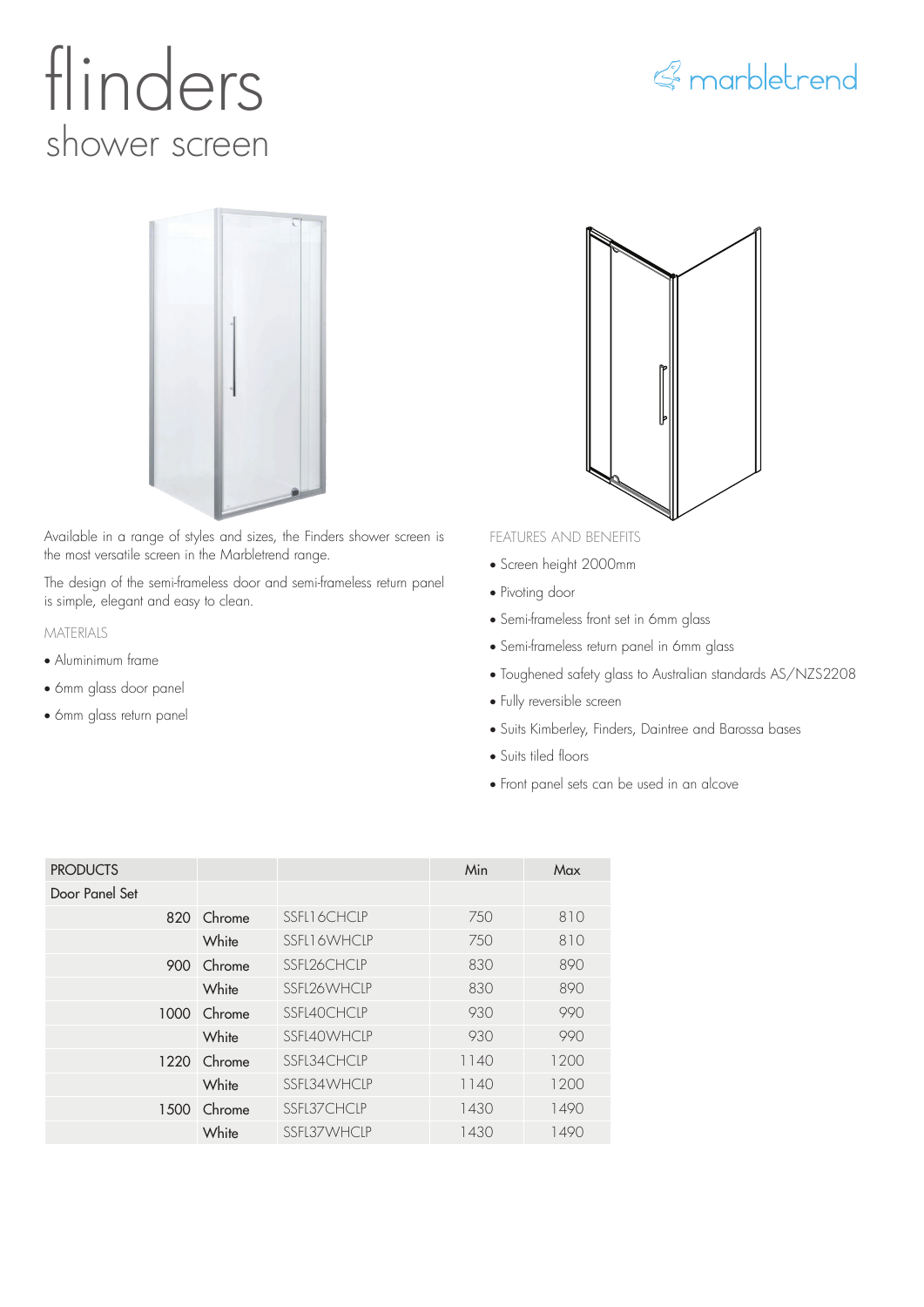# flinders shower screen





Available in a range of styles and sizes, the Finders shower screen is the most versatile screen in the Marbletrend range.

The design of the semi-frameless door and semi-frameless return panel is simple, elegant and easy to clean.

### MATERIALS

- Aluminimum frame
- 6mm glass door panel
- 6mm glass return panel



### FEATURES AND BENEFITS

- Screen height 2000mm
- Pivoting door
- Semi-frameless front set in 6mm glass
- Semi-frameless return panel in 6mm glass
- Toughened safety glass to Australian standards AS/NZS2208
- Fully reversible screen
- Suits Kimberley, Finders, Daintree and Barossa bases
- Suits tiled floors
- Front panel sets can be used in an alcove

| <b>PRODUCTS</b> |             |                    | Min  | Max  |
|-----------------|-------------|--------------------|------|------|
| Door Panel Set  |             |                    |      |      |
|                 | 820 Chrome  | SSEL16CHCLP        | 750  | 810  |
|                 | White       | <b>SSFL16WHCLP</b> | 750  | 810  |
|                 | 900 Chrome  | SSEI 26 CHCIP      | 830  | 890  |
|                 | White       | SSEI 26 WHCIP      | 830  | 890  |
|                 | 1000 Chrome | SSEI40CHCIP        | 930  | 990  |
|                 | White       | SSFI40WHCIP        | 930  | 990  |
|                 | 1220 Chrome | SSEL34CHCIP        | 1140 | 1200 |
|                 | White       | SSFI34WHCIP        | 1140 | 1200 |
|                 | 1500 Chrome | SSFL37CHCLP        | 1430 | 1490 |
|                 | White       | SSFL37WHCLP        | 1430 | 1490 |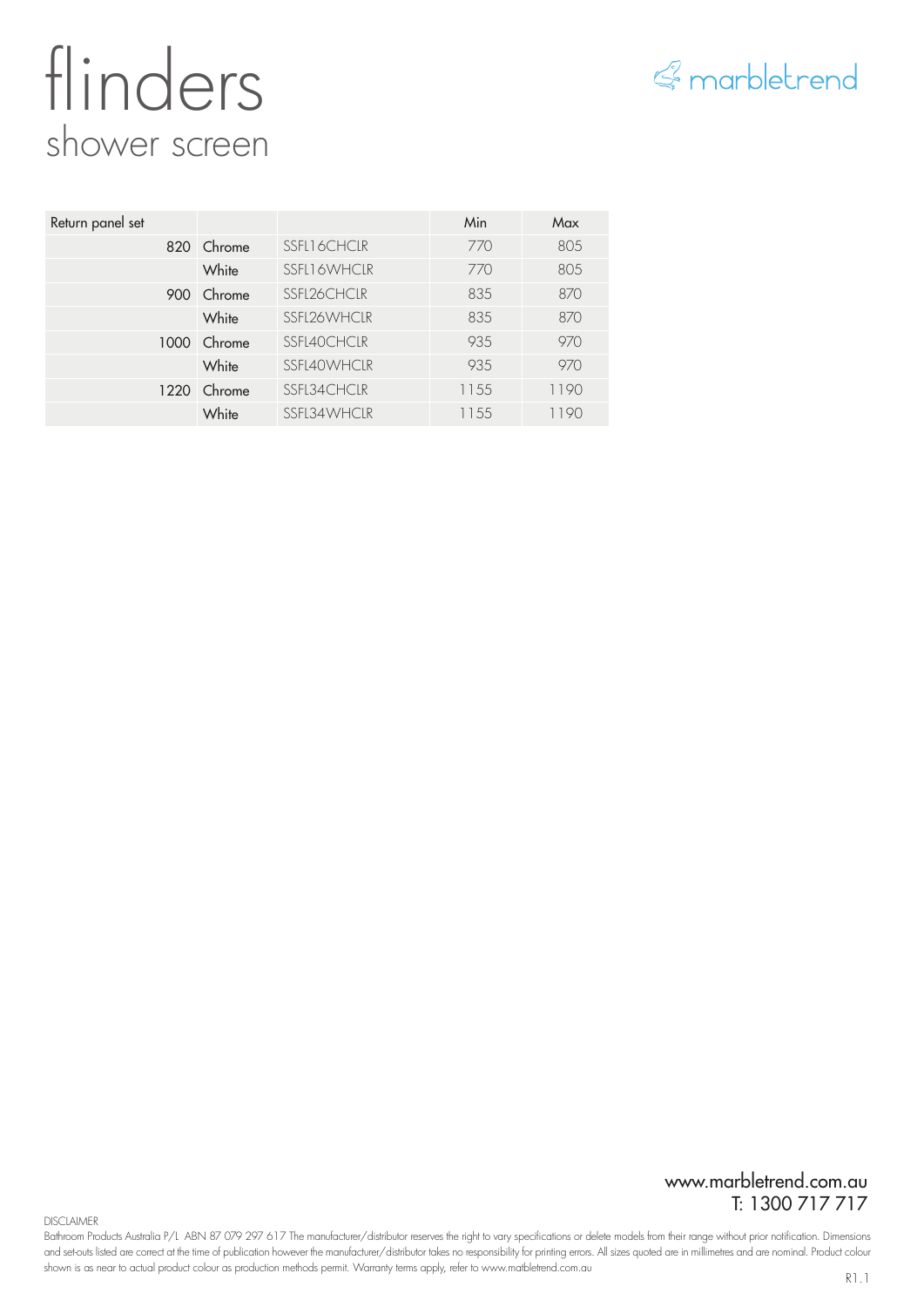## flinders shower screen



| Return panel set |             |             | Min  | Max  |
|------------------|-------------|-------------|------|------|
|                  | 820 Chrome  | SSFL16CHCLR | 770  | 805  |
|                  | White       | SSFL16WHCLR | 770  | 805  |
|                  | 900 Chrome  | SSFL26CHCLR | 835  | 870  |
|                  | White       | SSFL26WHCLR | 835  | 870  |
|                  | 1000 Chrome | SSFL40CHCLR | 935  | 970  |
|                  | White       | SSFL40WHCLR | 935  | 970  |
|                  | 1220 Chrome | SSFL34CHCLR | 1155 | 1190 |
|                  | White       | SSFL34WHCLR | 1155 | 1190 |

www.marbletrend.com.au T: 1300 717 717

**DISCLAIMER** 

Bathroom Products Australia P/L ABN 87 079 297 617 The manufacturer/distributor reserves the right to vary specifications or delete models from their range without prior notification. Dimensions and set-outs listed are correct at the time of publication however the manufacturer/distributor takes no responsibility for printing errors. All sizes quoted are in millimetres and are nominal. Product colour shown is as near to actual product colour as production methods permit. Warranty terms apply, refer to www.matbletrend.com.au